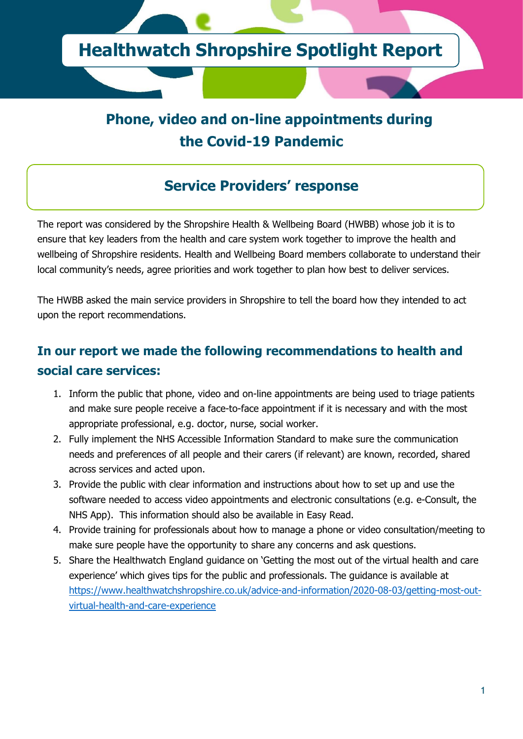

# **Phone, video and on-line appointments during the Covid-19 Pandemic**

## **Service Providers' response**

The report was considered by the Shropshire Health & Wellbeing Board (HWBB) whose job it is to ensure that key leaders from the health and care system work together to improve the health and wellbeing of Shropshire residents. Health and Wellbeing Board members collaborate to understand their local community's needs, agree priorities and work together to plan how best to deliver services.

The HWBB asked the main service providers in Shropshire to tell the board how they intended to act upon the report recommendations.

### **In our report we made the following recommendations to health and social care services:**

- 1. Inform the public that phone, video and on-line appointments are being used to triage patients and make sure people receive a face-to-face appointment if it is necessary and with the most appropriate professional, e.g. doctor, nurse, social worker.
- 2. Fully implement the NHS Accessible Information Standard to make sure the communication needs and preferences of all people and their carers (if relevant) are known, recorded, shared across services and acted upon.
- 3. Provide the public with clear information and instructions about how to set up and use the software needed to access video appointments and electronic consultations (e.g. e-Consult, the NHS App). This information should also be available in Easy Read.
- 4. Provide training for professionals about how to manage a phone or video consultation/meeting to make sure people have the opportunity to share any concerns and ask questions.
- 5. Share the Healthwatch England guidance on 'Getting the most out of the virtual health and care experience' which gives tips for the public and professionals. The guidance is available at [https://www.healthwatchshropshire.co.uk/advice-and-information/2020-08-03/getting-most-out](https://www.healthwatchshropshire.co.uk/advice-and-information/2020-08-03/getting-most-out-virtual-health-and-care-experience)[virtual-health-and-care-experience](https://www.healthwatchshropshire.co.uk/advice-and-information/2020-08-03/getting-most-out-virtual-health-and-care-experience)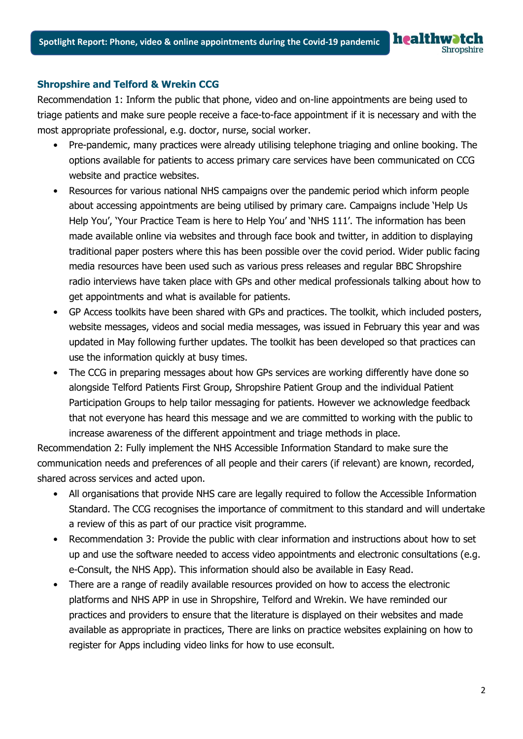Recommendation 1: Inform the public that phone, video and on-line appointments are being used to triage patients and make sure people receive a face-to-face appointment if it is necessary and with the most appropriate professional, e.g. doctor, nurse, social worker.

- Pre-pandemic, many practices were already utilising telephone triaging and online booking. The options available for patients to access primary care services have been communicated on CCG website and practice websites.
- Resources for various national NHS campaigns over the pandemic period which inform people about accessing appointments are being utilised by primary care. Campaigns include 'Help Us Help You', 'Your Practice Team is here to Help You' and 'NHS 111'. The information has been made available online via websites and through face book and twitter, in addition to displaying traditional paper posters where this has been possible over the covid period. Wider public facing media resources have been used such as various press releases and regular BBC Shropshire radio interviews have taken place with GPs and other medical professionals talking about how to get appointments and what is available for patients.
- GP Access toolkits have been shared with GPs and practices. The toolkit, which included posters, website messages, videos and social media messages, was issued in February this year and was updated in May following further updates. The toolkit has been developed so that practices can use the information quickly at busy times.
- The CCG in preparing messages about how GPs services are working differently have done so alongside Telford Patients First Group, Shropshire Patient Group and the individual Patient Participation Groups to help tailor messaging for patients. However we acknowledge feedback that not everyone has heard this message and we are committed to working with the public to increase awareness of the different appointment and triage methods in place.

Recommendation 2: Fully implement the NHS Accessible Information Standard to make sure the communication needs and preferences of all people and their carers (if relevant) are known, recorded, shared across services and acted upon.

- All organisations that provide NHS care are legally required to follow the Accessible Information Standard. The CCG recognises the importance of commitment to this standard and will undertake a review of this as part of our practice visit programme.
- Recommendation 3: Provide the public with clear information and instructions about how to set up and use the software needed to access video appointments and electronic consultations (e.g. e-Consult, the NHS App). This information should also be available in Easy Read.
- There are a range of readily available resources provided on how to access the electronic platforms and NHS APP in use in Shropshire, Telford and Wrekin. We have reminded our practices and providers to ensure that the literature is displayed on their websites and made available as appropriate in practices, There are links on practice websites explaining on how to register for Apps including video links for how to use econsult.

**healthwatch** 

Shropshire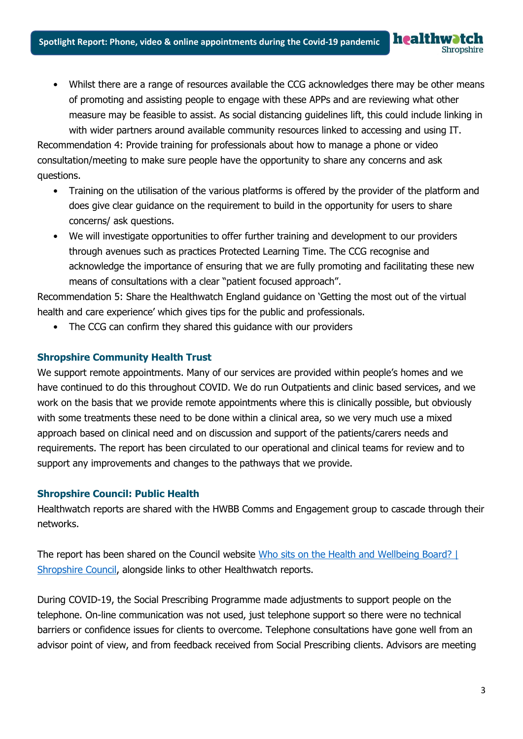• Whilst there are a range of resources available the CCG acknowledges there may be other means of promoting and assisting people to engage with these APPs and are reviewing what other measure may be feasible to assist. As social distancing guidelines lift, this could include linking in with wider partners around available community resources linked to accessing and using IT. Recommendation 4: Provide training for professionals about how to manage a phone or video

healtl

consultation/meeting to make sure people have the opportunity to share any concerns and ask questions.

- Training on the utilisation of the various platforms is offered by the provider of the platform and does give clear guidance on the requirement to build in the opportunity for users to share concerns/ ask questions.
- We will investigate opportunities to offer further training and development to our providers through avenues such as practices Protected Learning Time. The CCG recognise and acknowledge the importance of ensuring that we are fully promoting and facilitating these new means of consultations with a clear "patient focused approach".

Recommendation 5: Share the Healthwatch England guidance on 'Getting the most out of the virtual health and care experience' which gives tips for the public and professionals.

The CCG can confirm they shared this guidance with our providers

#### **Shropshire Community Health Trust**

We support remote appointments. Many of our services are provided within people's homes and we have continued to do this throughout COVID. We do run Outpatients and clinic based services, and we work on the basis that we provide remote appointments where this is clinically possible, but obviously with some treatments these need to be done within a clinical area, so we very much use a mixed approach based on clinical need and on discussion and support of the patients/carers needs and requirements. The report has been circulated to our operational and clinical teams for review and to support any improvements and changes to the pathways that we provide.

#### **Shropshire Council: Public Health**

Healthwatch reports are shared with the HWBB Comms and Engagement group to cascade through their networks.

The report has been shared on the Council website [Who sits on the Health and Wellbeing Board? |](https://shropshire.gov.uk/public-health/health-and-wellbeing-board/who-sits-on-the-health-and-wellbeing-board/)  [Shropshire Council,](https://shropshire.gov.uk/public-health/health-and-wellbeing-board/who-sits-on-the-health-and-wellbeing-board/) alongside links to other Healthwatch reports.

During COVID-19, the Social Prescribing Programme made adjustments to support people on the telephone. On-line communication was not used, just telephone support so there were no technical barriers or confidence issues for clients to overcome. Telephone consultations have gone well from an advisor point of view, and from feedback received from Social Prescribing clients. Advisors are meeting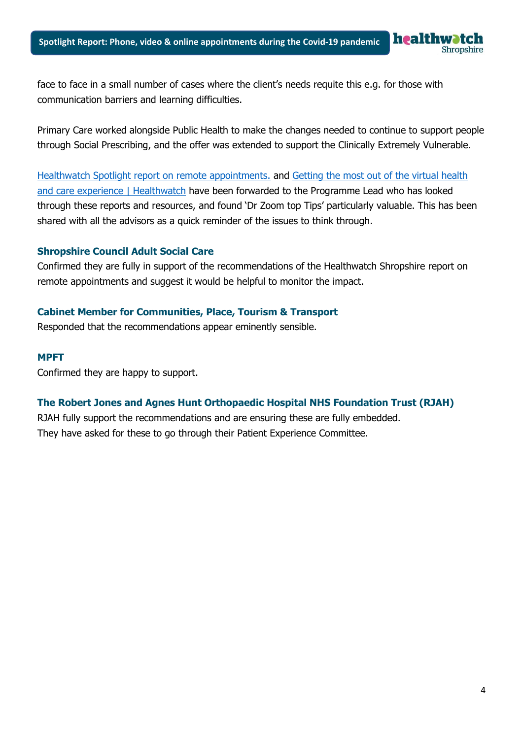face to face in a small number of cases where the client's needs requite this e.g. for those with communication barriers and learning difficulties.

Primary Care worked alongside Public Health to make the changes needed to continue to support people through Social Prescribing, and the offer was extended to support the Clinically Extremely Vulnerable.

[Healthwatch Spotlight report on remote appointments.](https://www.healthwatchshropshire.co.uk/report/2020-10-20/phone-video-and-on-line-appointments-during-covid-19-pandemic) and [Getting the most out of the virtual health](https://www.healthwatch.co.uk/advice-and-information/2020-07-28/getting-most-out-virtual-health-and-care-experience)  [and care experience | Healthwatch](https://www.healthwatch.co.uk/advice-and-information/2020-07-28/getting-most-out-virtual-health-and-care-experience) have been forwarded to the Programme Lead who has looked through these reports and resources, and found 'Dr Zoom top Tips' particularly valuable. This has been shared with all the advisors as a quick reminder of the issues to think through.

#### **Shropshire Council Adult Social Care**

Confirmed they are fully in support of the recommendations of the Healthwatch Shropshire report on remote appointments and suggest it would be helpful to monitor the impact.

#### **Cabinet Member for Communities, Place, Tourism & Transport**

Responded that the recommendations appear eminently sensible.

#### **MPFT**

Confirmed they are happy to support.

#### **The Robert Jones and Agnes Hunt Orthopaedic Hospital NHS Foundation Trust (RJAH)**

RJAH fully support the recommendations and are ensuring these are fully embedded. They have asked for these to go through their Patient Experience Committee.

hropshire